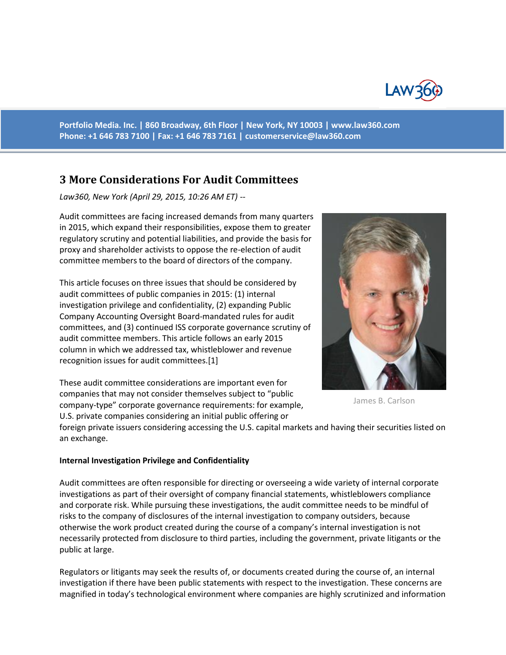

**Portfolio Media. Inc. | 860 Broadway, 6th Floor | New York, NY 10003 | www.law360.com Phone: +1 646 783 7100 | Fax: +1 646 783 7161 | [customerservice@law360.com](mailto:customerservice@law360.com)**

# **3 More Considerations For Audit Committees**

*Law360, New York (April 29, 2015, 10:26 AM ET) --*

Audit committees are facing increased demands from many quarters in 2015, which expand their responsibilities, expose them to greater regulatory scrutiny and potential liabilities, and provide the basis for proxy and shareholder activists to oppose the re-election of audit committee members to the board of directors of the company.

This article focuses on three issues that should be considered by audit committees of public companies in 2015: (1) internal investigation privilege and confidentiality, (2) expanding Public Company Accounting Oversight Board-mandated rules for audit committees, and (3) continued ISS corporate governance scrutiny of audit committee members. This article follows an early 2015 column in which we addressed tax, whistleblower and revenue recognition issues for audit committees.[1]

These audit committee considerations are important even for companies that may not consider themselves subject to "public company-type" corporate governance requirements: for example, U.S. private companies considering an initial public offering or



James B. Carlson

foreign private issuers considering accessing the U.S. capital markets and having their securities listed on an exchange.

### **Internal Investigation Privilege and Confidentiality**

Audit committees are often responsible for directing or overseeing a wide variety of internal corporate investigations as part of their oversight of company financial statements, whistleblowers compliance and corporate risk. While pursuing these investigations, the audit committee needs to be mindful of risks to the company of disclosures of the internal investigation to company outsiders, because otherwise the work product created during the course of a company's internal investigation is not necessarily protected from disclosure to third parties, including the government, private litigants or the public at large.

Regulators or litigants may seek the results of, or documents created during the course of, an internal investigation if there have been public statements with respect to the investigation. These concerns are magnified in today's technological environment where companies are highly scrutinized and information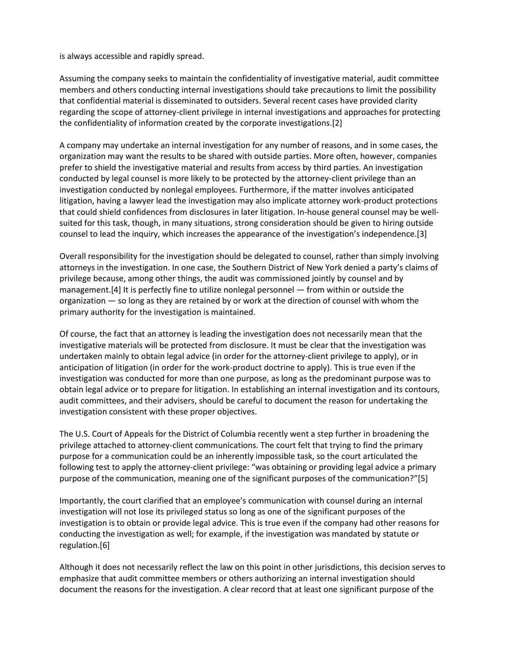is always accessible and rapidly spread.

Assuming the company seeks to maintain the confidentiality of investigative material, audit committee members and others conducting internal investigations should take precautions to limit the possibility that confidential material is disseminated to outsiders. Several recent cases have provided clarity regarding the scope of attorney-client privilege in internal investigations and approaches for protecting the confidentiality of information created by the corporate investigations.[2]

A company may undertake an internal investigation for any number of reasons, and in some cases, the organization may want the results to be shared with outside parties. More often, however, companies prefer to shield the investigative material and results from access by third parties. An investigation conducted by legal counsel is more likely to be protected by the attorney-client privilege than an investigation conducted by nonlegal employees. Furthermore, if the matter involves anticipated litigation, having a lawyer lead the investigation may also implicate attorney work-product protections that could shield confidences from disclosures in later litigation. In-house general counsel may be wellsuited for this task, though, in many situations, strong consideration should be given to hiring outside counsel to lead the inquiry, which increases the appearance of the investigation's independence.[3]

Overall responsibility for the investigation should be delegated to counsel, rather than simply involving attorneys in the investigation. In one case, the Southern District of New York denied a party's claims of privilege because, among other things, the audit was commissioned jointly by counsel and by management.[4] It is perfectly fine to utilize nonlegal personnel — from within or outside the organization — so long as they are retained by or work at the direction of counsel with whom the primary authority for the investigation is maintained.

Of course, the fact that an attorney is leading the investigation does not necessarily mean that the investigative materials will be protected from disclosure. It must be clear that the investigation was undertaken mainly to obtain legal advice (in order for the attorney-client privilege to apply), or in anticipation of litigation (in order for the work-product doctrine to apply). This is true even if the investigation was conducted for more than one purpose, as long as the predominant purpose was to obtain legal advice or to prepare for litigation. In establishing an internal investigation and its contours, audit committees, and their advisers, should be careful to document the reason for undertaking the investigation consistent with these proper objectives.

The U.S. Court of Appeals for the District of Columbia recently went a step further in broadening the privilege attached to attorney-client communications. The court felt that trying to find the primary purpose for a communication could be an inherently impossible task, so the court articulated the following test to apply the attorney-client privilege: "was obtaining or providing legal advice a primary purpose of the communication, meaning one of the significant purposes of the communication?"[5]

Importantly, the court clarified that an employee's communication with counsel during an internal investigation will not lose its privileged status so long as one of the significant purposes of the investigation is to obtain or provide legal advice. This is true even if the company had other reasons for conducting the investigation as well; for example, if the investigation was mandated by statute or regulation.[6]

Although it does not necessarily reflect the law on this point in other jurisdictions, this decision serves to emphasize that audit committee members or others authorizing an internal investigation should document the reasons for the investigation. A clear record that at least one significant purpose of the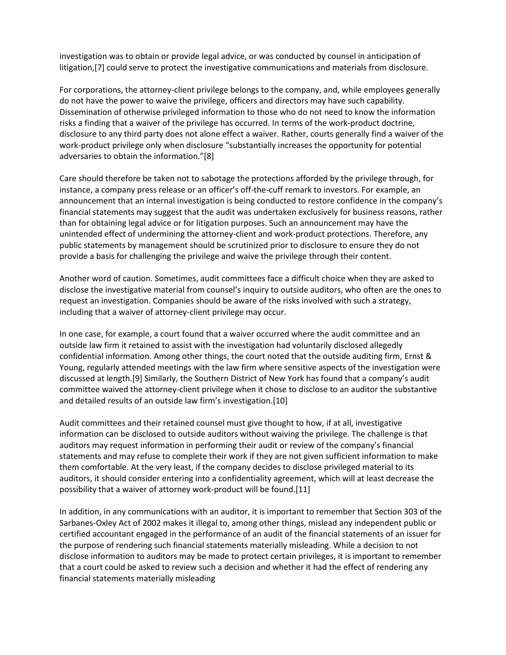investigation was to obtain or provide legal advice, or was conducted by counsel in anticipation of litigation,[7] could serve to protect the investigative communications and materials from disclosure.

For corporations, the attorney-client privilege belongs to the company, and, while employees generally do not have the power to waive the privilege, officers and directors may have such capability. Dissemination of otherwise privileged information to those who do not need to know the information risks a finding that a waiver of the privilege has occurred. In terms of the work-product doctrine, disclosure to any third party does not alone effect a waiver. Rather, courts generally find a waiver of the work-product privilege only when disclosure "substantially increases the opportunity for potential adversaries to obtain the information."[8]

Care should therefore be taken not to sabotage the protections afforded by the privilege through, for instance, a company press release or an officer's off-the-cuff remark to investors. For example, an announcement that an internal investigation is being conducted to restore confidence in the company's financial statements may suggest that the audit was undertaken exclusively for business reasons, rather than for obtaining legal advice or for litigation purposes. Such an announcement may have the unintended effect of undermining the attorney-client and work-product protections. Therefore, any public statements by management should be scrutinized prior to disclosure to ensure they do not provide a basis for challenging the privilege and waive the privilege through their content.

Another word of caution. Sometimes, audit committees face a difficult choice when they are asked to disclose the investigative material from counsel's inquiry to outside auditors, who often are the ones to request an investigation. Companies should be aware of the risks involved with such a strategy, including that a waiver of attorney-client privilege may occur.

In one case, for example, a court found that a waiver occurred where the audit committee and an outside law firm it retained to assist with the investigation had voluntarily disclosed allegedly confidential information. Among other things, the court noted that the outside auditing firm, Ernst & Young, regularly attended meetings with the law firm where sensitive aspects of the investigation were discussed at length.[9] Similarly, the Southern District of New York has found that a company's audit committee waived the attorney-client privilege when it chose to disclose to an auditor the substantive and detailed results of an outside law firm's investigation.[10]

Audit committees and their retained counsel must give thought to how, if at all, investigative information can be disclosed to outside auditors without waiving the privilege. The challenge is that auditors may request information in performing their audit or review of the company's financial statements and may refuse to complete their work if they are not given sufficient information to make them comfortable. At the very least, if the company decides to disclose privileged material to its auditors, it should consider entering into a confidentiality agreement, which will at least decrease the possibility that a waiver of attorney work-product will be found.[11]

In addition, in any communications with an auditor, it is important to remember that Section 303 of the Sarbanes-Oxley Act of 2002 makes it illegal to, among other things, mislead any independent public or certified accountant engaged in the performance of an audit of the financial statements of an issuer for the purpose of rendering such financial statements materially misleading. While a decision to not disclose information to auditors may be made to protect certain privileges, it is important to remember that a court could be asked to review such a decision and whether it had the effect of rendering any financial statements materially misleading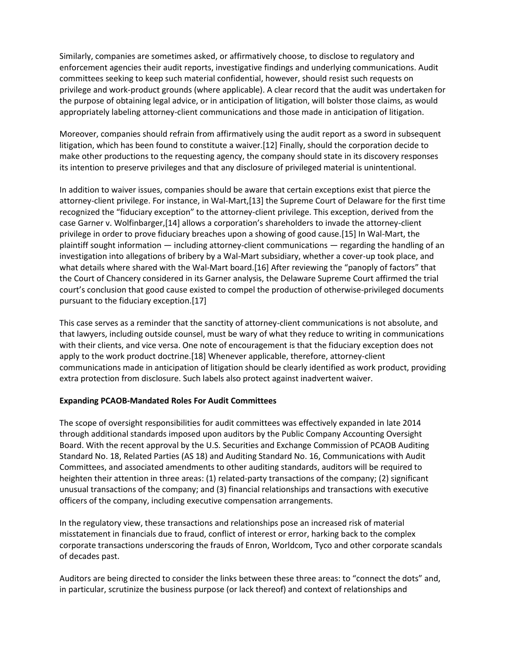Similarly, companies are sometimes asked, or affirmatively choose, to disclose to regulatory and enforcement agencies their audit reports, investigative findings and underlying communications. Audit committees seeking to keep such material confidential, however, should resist such requests on privilege and work-product grounds (where applicable). A clear record that the audit was undertaken for the purpose of obtaining legal advice, or in anticipation of litigation, will bolster those claims, as would appropriately labeling attorney-client communications and those made in anticipation of litigation.

Moreover, companies should refrain from affirmatively using the audit report as a sword in subsequent litigation, which has been found to constitute a waiver.[12] Finally, should the corporation decide to make other productions to the requesting agency, the company should state in its discovery responses its intention to preserve privileges and that any disclosure of privileged material is unintentional.

In addition to waiver issues, companies should be aware that certain exceptions exist that pierce the attorney-client privilege. For instance, in Wal-Mart,[13] the Supreme Court of Delaware for the first time recognized the "fiduciary exception" to the attorney-client privilege. This exception, derived from the case Garner v. Wolfinbarger,[14] allows a corporation's shareholders to invade the attorney-client privilege in order to prove fiduciary breaches upon a showing of good cause.[15] In Wal-Mart, the plaintiff sought information — including attorney-client communications — regarding the handling of an investigation into allegations of bribery by a Wal-Mart subsidiary, whether a cover-up took place, and what details where shared with the Wal-Mart board.[16] After reviewing the "panoply of factors" that the Court of Chancery considered in its Garner analysis, the Delaware Supreme Court affirmed the trial court's conclusion that good cause existed to compel the production of otherwise-privileged documents pursuant to the fiduciary exception.[17]

This case serves as a reminder that the sanctity of attorney-client communications is not absolute, and that lawyers, including outside counsel, must be wary of what they reduce to writing in communications with their clients, and vice versa. One note of encouragement is that the fiduciary exception does not apply to the work product doctrine.[18] Whenever applicable, therefore, attorney-client communications made in anticipation of litigation should be clearly identified as work product, providing extra protection from disclosure. Such labels also protect against inadvertent waiver.

## **Expanding PCAOB-Mandated Roles For Audit Committees**

The scope of oversight responsibilities for audit committees was effectively expanded in late 2014 through additional standards imposed upon auditors by the Public Company Accounting Oversight Board. With the recent approval by the U.S. Securities and Exchange Commission of PCAOB Auditing Standard No. 18, Related Parties (AS 18) and Auditing Standard No. 16, Communications with Audit Committees, and associated amendments to other auditing standards, auditors will be required to heighten their attention in three areas: (1) related-party transactions of the company; (2) significant unusual transactions of the company; and (3) financial relationships and transactions with executive officers of the company, including executive compensation arrangements.

In the regulatory view, these transactions and relationships pose an increased risk of material misstatement in financials due to fraud, conflict of interest or error, harking back to the complex corporate transactions underscoring the frauds of Enron, Worldcom, Tyco and other corporate scandals of decades past.

Auditors are being directed to consider the links between these three areas: to "connect the dots" and, in particular, scrutinize the business purpose (or lack thereof) and context of relationships and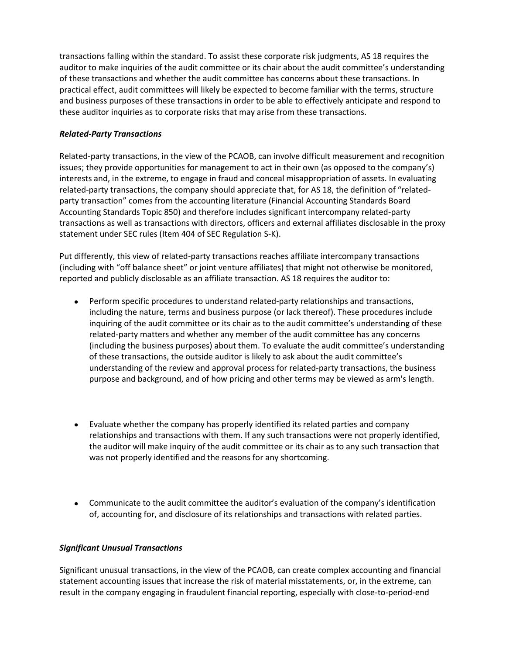transactions falling within the standard. To assist these corporate risk judgments, AS 18 requires the auditor to make inquiries of the audit committee or its chair about the audit committee's understanding of these transactions and whether the audit committee has concerns about these transactions. In practical effect, audit committees will likely be expected to become familiar with the terms, structure and business purposes of these transactions in order to be able to effectively anticipate and respond to these auditor inquiries as to corporate risks that may arise from these transactions.

# *Related-Party Transactions*

Related-party transactions, in the view of the PCAOB, can involve difficult measurement and recognition issues; they provide opportunities for management to act in their own (as opposed to the company's) interests and, in the extreme, to engage in fraud and conceal misappropriation of assets. In evaluating related-party transactions, the company should appreciate that, for AS 18, the definition of "relatedparty transaction" comes from the accounting literature (Financial Accounting Standards Board Accounting Standards Topic 850) and therefore includes significant intercompany related-party transactions as well as transactions with directors, officers and external affiliates disclosable in the proxy statement under SEC rules (Item 404 of SEC Regulation S-K).

Put differently, this view of related-party transactions reaches affiliate intercompany transactions (including with "off balance sheet" or joint venture affiliates) that might not otherwise be monitored, reported and publicly disclosable as an affiliate transaction. AS 18 requires the auditor to:

- Perform specific procedures to understand related-party relationships and transactions, including the nature, terms and business purpose (or lack thereof). These procedures include inquiring of the audit committee or its chair as to the audit committee's understanding of these related-party matters and whether any member of the audit committee has any concerns (including the business purposes) about them. To evaluate the audit committee's understanding of these transactions, the outside auditor is likely to ask about the audit committee's understanding of the review and approval process for related-party transactions, the business purpose and background, and of how pricing and other terms may be viewed as arm's length.
- Evaluate whether the company has properly identified its related parties and company relationships and transactions with them. If any such transactions were not properly identified, the auditor will make inquiry of the audit committee or its chair as to any such transaction that was not properly identified and the reasons for any shortcoming.
- Communicate to the audit committee the auditor's evaluation of the company's identification of, accounting for, and disclosure of its relationships and transactions with related parties.

## *Significant Unusual Transactions*

Significant unusual transactions, in the view of the PCAOB, can create complex accounting and financial statement accounting issues that increase the risk of material misstatements, or, in the extreme, can result in the company engaging in fraudulent financial reporting, especially with close-to-period-end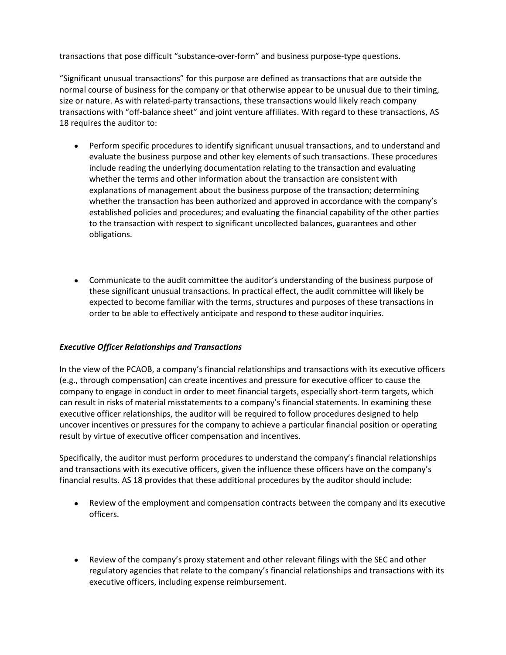transactions that pose difficult "substance-over-form" and business purpose-type questions.

"Significant unusual transactions" for this purpose are defined as transactions that are outside the normal course of business for the company or that otherwise appear to be unusual due to their timing, size or nature. As with related-party transactions, these transactions would likely reach company transactions with "off-balance sheet" and joint venture affiliates. With regard to these transactions, AS 18 requires the auditor to:

- Perform specific procedures to identify significant unusual transactions, and to understand and evaluate the business purpose and other key elements of such transactions. These procedures include reading the underlying documentation relating to the transaction and evaluating whether the terms and other information about the transaction are consistent with explanations of management about the business purpose of the transaction; determining whether the transaction has been authorized and approved in accordance with the company's established policies and procedures; and evaluating the financial capability of the other parties to the transaction with respect to significant uncollected balances, guarantees and other obligations.
- Communicate to the audit committee the auditor's understanding of the business purpose of these significant unusual transactions. In practical effect, the audit committee will likely be expected to become familiar with the terms, structures and purposes of these transactions in order to be able to effectively anticipate and respond to these auditor inquiries.

## *Executive Officer Relationships and Transactions*

In the view of the PCAOB, a company's financial relationships and transactions with its executive officers (e.g., through compensation) can create incentives and pressure for executive officer to cause the company to engage in conduct in order to meet financial targets, especially short-term targets, which can result in risks of material misstatements to a company's financial statements. In examining these executive officer relationships, the auditor will be required to follow procedures designed to help uncover incentives or pressures for the company to achieve a particular financial position or operating result by virtue of executive officer compensation and incentives.

Specifically, the auditor must perform procedures to understand the company's financial relationships and transactions with its executive officers, given the influence these officers have on the company's financial results. AS 18 provides that these additional procedures by the auditor should include:

- Review of the employment and compensation contracts between the company and its executive officers.
- Review of the company's proxy statement and other relevant filings with the SEC and other regulatory agencies that relate to the company's financial relationships and transactions with its executive officers, including expense reimbursement.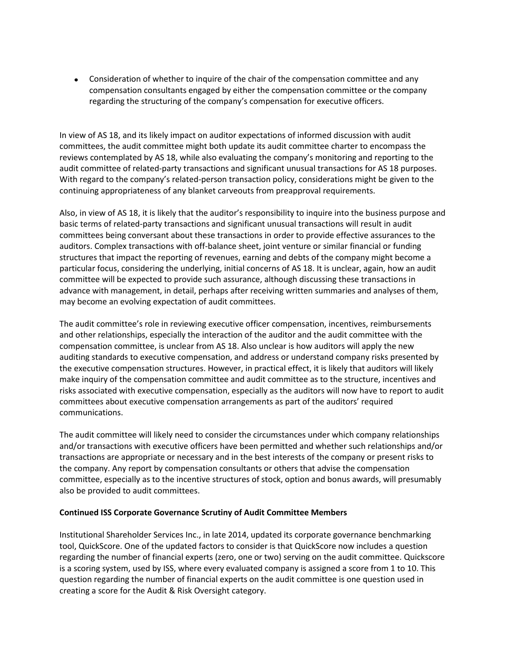Consideration of whether to inquire of the chair of the compensation committee and any compensation consultants engaged by either the compensation committee or the company regarding the structuring of the company's compensation for executive officers.

In view of AS 18, and its likely impact on auditor expectations of informed discussion with audit committees, the audit committee might both update its audit committee charter to encompass the reviews contemplated by AS 18, while also evaluating the company's monitoring and reporting to the audit committee of related-party transactions and significant unusual transactions for AS 18 purposes. With regard to the company's related-person transaction policy, considerations might be given to the continuing appropriateness of any blanket carveouts from preapproval requirements.

Also, in view of AS 18, it is likely that the auditor's responsibility to inquire into the business purpose and basic terms of related-party transactions and significant unusual transactions will result in audit committees being conversant about these transactions in order to provide effective assurances to the auditors. Complex transactions with off-balance sheet, joint venture or similar financial or funding structures that impact the reporting of revenues, earning and debts of the company might become a particular focus, considering the underlying, initial concerns of AS 18. It is unclear, again, how an audit committee will be expected to provide such assurance, although discussing these transactions in advance with management, in detail, perhaps after receiving written summaries and analyses of them, may become an evolving expectation of audit committees.

The audit committee's role in reviewing executive officer compensation, incentives, reimbursements and other relationships, especially the interaction of the auditor and the audit committee with the compensation committee, is unclear from AS 18. Also unclear is how auditors will apply the new auditing standards to executive compensation, and address or understand company risks presented by the executive compensation structures. However, in practical effect, it is likely that auditors will likely make inquiry of the compensation committee and audit committee as to the structure, incentives and risks associated with executive compensation, especially as the auditors will now have to report to audit committees about executive compensation arrangements as part of the auditors' required communications.

The audit committee will likely need to consider the circumstances under which company relationships and/or transactions with executive officers have been permitted and whether such relationships and/or transactions are appropriate or necessary and in the best interests of the company or present risks to the company. Any report by compensation consultants or others that advise the compensation committee, especially as to the incentive structures of stock, option and bonus awards, will presumably also be provided to audit committees.

### **Continued ISS Corporate Governance Scrutiny of Audit Committee Members**

Institutional Shareholder Services Inc., in late 2014, updated its corporate governance benchmarking tool, QuickScore. One of the updated factors to consider is that QuickScore now includes a question regarding the number of financial experts (zero, one or two) serving on the audit committee. Quickscore is a scoring system, used by ISS, where every evaluated company is assigned a score from 1 to 10. This question regarding the number of financial experts on the audit committee is one question used in creating a score for the Audit & Risk Oversight category.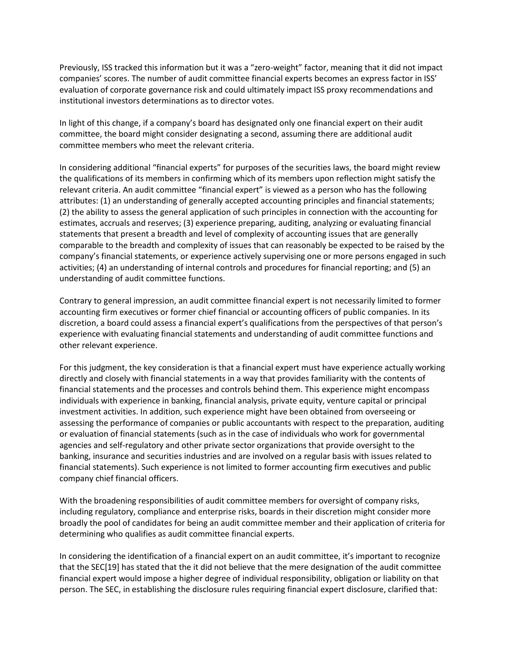Previously, ISS tracked this information but it was a "zero-weight" factor, meaning that it did not impact companies' scores. The number of audit committee financial experts becomes an express factor in ISS' evaluation of corporate governance risk and could ultimately impact ISS proxy recommendations and institutional investors determinations as to director votes.

In light of this change, if a company's board has designated only one financial expert on their audit committee, the board might consider designating a second, assuming there are additional audit committee members who meet the relevant criteria.

In considering additional "financial experts" for purposes of the securities laws, the board might review the qualifications of its members in confirming which of its members upon reflection might satisfy the relevant criteria. An audit committee "financial expert" is viewed as a person who has the following attributes: (1) an understanding of generally accepted accounting principles and financial statements; (2) the ability to assess the general application of such principles in connection with the accounting for estimates, accruals and reserves; (3) experience preparing, auditing, analyzing or evaluating financial statements that present a breadth and level of complexity of accounting issues that are generally comparable to the breadth and complexity of issues that can reasonably be expected to be raised by the company's financial statements, or experience actively supervising one or more persons engaged in such activities; (4) an understanding of internal controls and procedures for financial reporting; and (5) an understanding of audit committee functions.

Contrary to general impression, an audit committee financial expert is not necessarily limited to former accounting firm executives or former chief financial or accounting officers of public companies. In its discretion, a board could assess a financial expert's qualifications from the perspectives of that person's experience with evaluating financial statements and understanding of audit committee functions and other relevant experience.

For this judgment, the key consideration is that a financial expert must have experience actually working directly and closely with financial statements in a way that provides familiarity with the contents of financial statements and the processes and controls behind them. This experience might encompass individuals with experience in banking, financial analysis, private equity, venture capital or principal investment activities. In addition, such experience might have been obtained from overseeing or assessing the performance of companies or public accountants with respect to the preparation, auditing or evaluation of financial statements (such as in the case of individuals who work for governmental agencies and self-regulatory and other private sector organizations that provide oversight to the banking, insurance and securities industries and are involved on a regular basis with issues related to financial statements). Such experience is not limited to former accounting firm executives and public company chief financial officers.

With the broadening responsibilities of audit committee members for oversight of company risks, including regulatory, compliance and enterprise risks, boards in their discretion might consider more broadly the pool of candidates for being an audit committee member and their application of criteria for determining who qualifies as audit committee financial experts.

In considering the identification of a financial expert on an audit committee, it's important to recognize that the SEC[19] has stated that the it did not believe that the mere designation of the audit committee financial expert would impose a higher degree of individual responsibility, obligation or liability on that person. The SEC, in establishing the disclosure rules requiring financial expert disclosure, clarified that: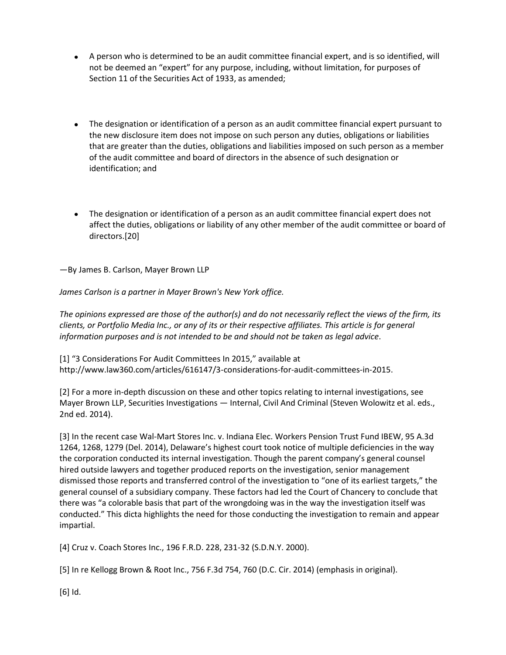- A person who is determined to be an audit committee financial expert, and is so identified, will not be deemed an "expert" for any purpose, including, without limitation, for purposes of Section 11 of the Securities Act of 1933, as amended;
- The designation or identification of a person as an audit committee financial expert pursuant to the new disclosure item does not impose on such person any duties, obligations or liabilities that are greater than the duties, obligations and liabilities imposed on such person as a member of the audit committee and board of directors in the absence of such designation or identification; and
- The designation or identification of a person as an audit committee financial expert does not affect the duties, obligations or liability of any other member of the audit committee or board of directors.[20]

—By James B. Carlson, Mayer Brown LLP

*James Carlson is a partner in Mayer Brown's New York office.*

*The opinions expressed are those of the author(s) and do not necessarily reflect the views of the firm, its clients, or Portfolio Media Inc., or any of its or their respective affiliates. This article is for general information purposes and is not intended to be and should not be taken as legal advice*.

[1] "3 Considerations For Audit Committees In 2015," available at http://www.law360.com/articles/616147/3-considerations-for-audit-committees-in-2015.

[2] For a more in-depth discussion on these and other topics relating to internal investigations, see Mayer Brown LLP, Securities Investigations — Internal, Civil And Criminal (Steven Wolowitz et al. eds., 2nd ed. 2014).

[3] In the recent case Wal-Mart Stores Inc. v. Indiana Elec. Workers Pension Trust Fund IBEW, 95 A.3d 1264, 1268, 1279 (Del. 2014), Delaware's highest court took notice of multiple deficiencies in the way the corporation conducted its internal investigation. Though the parent company's general counsel hired outside lawyers and together produced reports on the investigation, senior management dismissed those reports and transferred control of the investigation to "one of its earliest targets," the general counsel of a subsidiary company. These factors had led the Court of Chancery to conclude that there was "a colorable basis that part of the wrongdoing was in the way the investigation itself was conducted." This dicta highlights the need for those conducting the investigation to remain and appear impartial.

[4] Cruz v. Coach Stores Inc., 196 F.R.D. 228, 231-32 (S.D.N.Y. 2000).

[5] In re Kellogg Brown & Root Inc., 756 F.3d 754, 760 (D.C. Cir. 2014) (emphasis in original).

[6] Id.